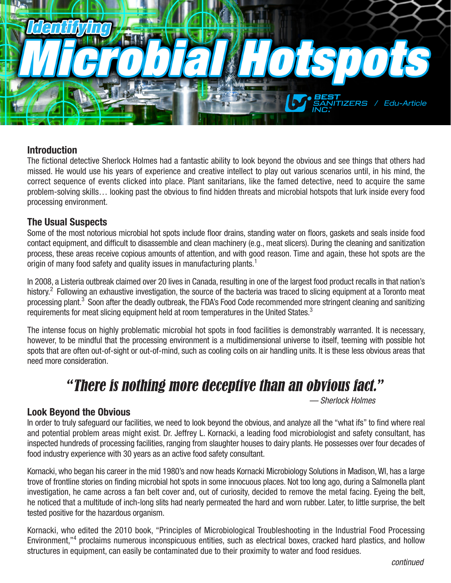

#### **Introduction**

The fictional detective Sherlock Holmes had a fantastic ability to look beyond the obvious and see things that others had missed. He would use his years of experience and creative intellect to play out various scenarios until, in his mind, the correct sequence of events clicked into place. Plant sanitarians, like the famed detective, need to acquire the same problem-solving skills… looking past the obvious to find hidden threats and microbial hotspots that lurk inside every food processing environment.

#### **The Usual Suspects**

Some of the most notorious microbial hot spots include floor drains, standing water on floors, gaskets and seals inside food contact equipment, and difficult to disassemble and clean machinery (e.g., meat slicers). During the cleaning and sanitization process, these areas receive copious amounts of attention, and with good reason. Time and again, these hot spots are the origin of many food safety and quality issues in manufacturing plants.<sup>1</sup>

In 2008, a Listeria outbreak claimed over 20 lives in Canada, resulting in one of the largest food product recalls in that nation's history.<sup>2</sup> Following an exhaustive investigation, the source of the bacteria was traced to slicing equipment at a Toronto meat processing plant.<sup>3</sup> Soon after the deadly outbreak, the FDA's Food Code recommended more stringent cleaning and sanitizing requirements for meat slicing equipment held at room temperatures in the United States.<sup>3</sup>

The intense focus on highly problematic microbial hot spots in food facilities is demonstrably warranted. It is necessary, however, to be mindful that the processing environment is a multidimensional universe to itself, teeming with possible hot spots that are often out-of-sight or out-of-mind, such as cooling coils on air handling units. It is these less obvious areas that need more consideration.

# "There is nothing more deceptive than an obvious fact."

*— Sherlock Holmes*

#### **Look Beyond the Obvious**

In order to truly safeguard our facilities, we need to look beyond the obvious, and analyze all the "what ifs" to find where real and potential problem areas might exist. Dr. Jeffrey L. Kornacki, a leading food microbiologist and safety consultant, has inspected hundreds of processing facilities, ranging from slaughter houses to dairy plants. He possesses over four decades of food industry experience with 30 years as an active food safety consultant.

Kornacki, who began his career in the mid 1980's and now heads Kornacki Microbiology Solutions in Madison, WI, has a large trove of frontline stories on finding microbial hot spots in some innocuous places. Not too long ago, during a Salmonella plant investigation, he came across a fan belt cover and, out of curiosity, decided to remove the metal facing. Eyeing the belt, he noticed that a multitude of inch-long slits had nearly permeated the hard and worn rubber. Later, to little surprise, the belt tested positive for the hazardous organism.

Kornacki, who edited the 2010 book, "Principles of Microbiological Troubleshooting in the Industrial Food Processing Environment,"<sup>4</sup> proclaims numerous inconspicuous entities, such as electrical boxes, cracked hard plastics, and hollow structures in equipment, can easily be contaminated due to their proximity to water and food residues.